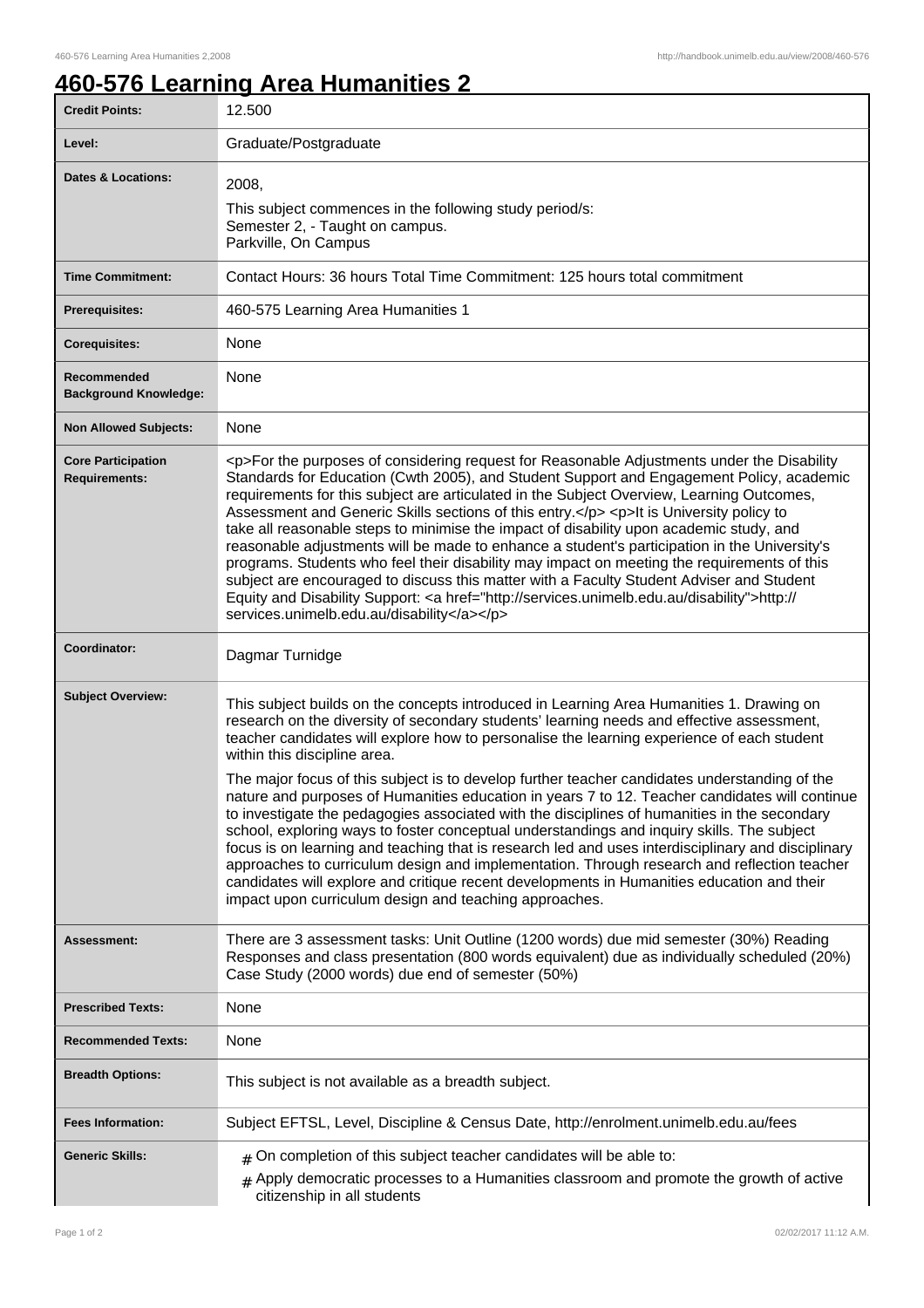## **460-576 Learning Area Humanities 2**

| <b>Credit Points:</b>                             | 12.500                                                                                                                                                                                                                                                                                                                                                                                                                                                                                                                                                                                                                                                                                                                                                                                                                                                                                                                       |
|---------------------------------------------------|------------------------------------------------------------------------------------------------------------------------------------------------------------------------------------------------------------------------------------------------------------------------------------------------------------------------------------------------------------------------------------------------------------------------------------------------------------------------------------------------------------------------------------------------------------------------------------------------------------------------------------------------------------------------------------------------------------------------------------------------------------------------------------------------------------------------------------------------------------------------------------------------------------------------------|
| Level:                                            | Graduate/Postgraduate                                                                                                                                                                                                                                                                                                                                                                                                                                                                                                                                                                                                                                                                                                                                                                                                                                                                                                        |
| <b>Dates &amp; Locations:</b>                     | 2008,<br>This subject commences in the following study period/s:<br>Semester 2, - Taught on campus.<br>Parkville, On Campus                                                                                                                                                                                                                                                                                                                                                                                                                                                                                                                                                                                                                                                                                                                                                                                                  |
| <b>Time Commitment:</b>                           | Contact Hours: 36 hours Total Time Commitment: 125 hours total commitment                                                                                                                                                                                                                                                                                                                                                                                                                                                                                                                                                                                                                                                                                                                                                                                                                                                    |
| <b>Prerequisites:</b>                             | 460-575 Learning Area Humanities 1                                                                                                                                                                                                                                                                                                                                                                                                                                                                                                                                                                                                                                                                                                                                                                                                                                                                                           |
| <b>Corequisites:</b>                              | None                                                                                                                                                                                                                                                                                                                                                                                                                                                                                                                                                                                                                                                                                                                                                                                                                                                                                                                         |
| Recommended<br><b>Background Knowledge:</b>       | None                                                                                                                                                                                                                                                                                                                                                                                                                                                                                                                                                                                                                                                                                                                                                                                                                                                                                                                         |
| <b>Non Allowed Subjects:</b>                      | None                                                                                                                                                                                                                                                                                                                                                                                                                                                                                                                                                                                                                                                                                                                                                                                                                                                                                                                         |
| <b>Core Participation</b><br><b>Requirements:</b> | <p>For the purposes of considering request for Reasonable Adjustments under the Disability<br/>Standards for Education (Cwth 2005), and Student Support and Engagement Policy, academic<br/>requirements for this subject are articulated in the Subject Overview, Learning Outcomes,<br/>Assessment and Generic Skills sections of this entry.</p> <p>lt is University policy to<br/>take all reasonable steps to minimise the impact of disability upon academic study, and<br/>reasonable adjustments will be made to enhance a student's participation in the University's<br/>programs. Students who feel their disability may impact on meeting the requirements of this<br/>subject are encouraged to discuss this matter with a Faculty Student Adviser and Student<br/>Equity and Disability Support: &lt; a href="http://services.unimelb.edu.au/disability"&gt;http://<br/>services.unimelb.edu.au/disability</p> |
| Coordinator:                                      | Dagmar Turnidge                                                                                                                                                                                                                                                                                                                                                                                                                                                                                                                                                                                                                                                                                                                                                                                                                                                                                                              |
| <b>Subject Overview:</b>                          | This subject builds on the concepts introduced in Learning Area Humanities 1. Drawing on<br>research on the diversity of secondary students' learning needs and effective assessment,<br>teacher candidates will explore how to personalise the learning experience of each student<br>within this discipline area.                                                                                                                                                                                                                                                                                                                                                                                                                                                                                                                                                                                                          |
|                                                   | The major focus of this subject is to develop further teacher candidates understanding of the<br>nature and purposes of Humanities education in years 7 to 12. Teacher candidates will continue<br>to investigate the pedagogies associated with the disciplines of humanities in the secondary<br>school, exploring ways to foster conceptual understandings and inquiry skills. The subject<br>focus is on learning and teaching that is research led and uses interdisciplinary and disciplinary<br>approaches to curriculum design and implementation. Through research and reflection teacher<br>candidates will explore and critique recent developments in Humanities education and their<br>impact upon curriculum design and teaching approaches.                                                                                                                                                                   |
| Assessment:                                       | There are 3 assessment tasks: Unit Outline (1200 words) due mid semester (30%) Reading<br>Responses and class presentation (800 words equivalent) due as individually scheduled (20%)<br>Case Study (2000 words) due end of semester (50%)                                                                                                                                                                                                                                                                                                                                                                                                                                                                                                                                                                                                                                                                                   |
| <b>Prescribed Texts:</b>                          | None                                                                                                                                                                                                                                                                                                                                                                                                                                                                                                                                                                                                                                                                                                                                                                                                                                                                                                                         |
| <b>Recommended Texts:</b>                         | None                                                                                                                                                                                                                                                                                                                                                                                                                                                                                                                                                                                                                                                                                                                                                                                                                                                                                                                         |
| <b>Breadth Options:</b>                           | This subject is not available as a breadth subject.                                                                                                                                                                                                                                                                                                                                                                                                                                                                                                                                                                                                                                                                                                                                                                                                                                                                          |
| <b>Fees Information:</b>                          | Subject EFTSL, Level, Discipline & Census Date, http://enrolment.unimelb.edu.au/fees                                                                                                                                                                                                                                                                                                                                                                                                                                                                                                                                                                                                                                                                                                                                                                                                                                         |
| <b>Generic Skills:</b>                            | $#$ On completion of this subject teacher candidates will be able to:<br>Apply democratic processes to a Humanities classroom and promote the growth of active<br>#<br>citizenship in all students                                                                                                                                                                                                                                                                                                                                                                                                                                                                                                                                                                                                                                                                                                                           |